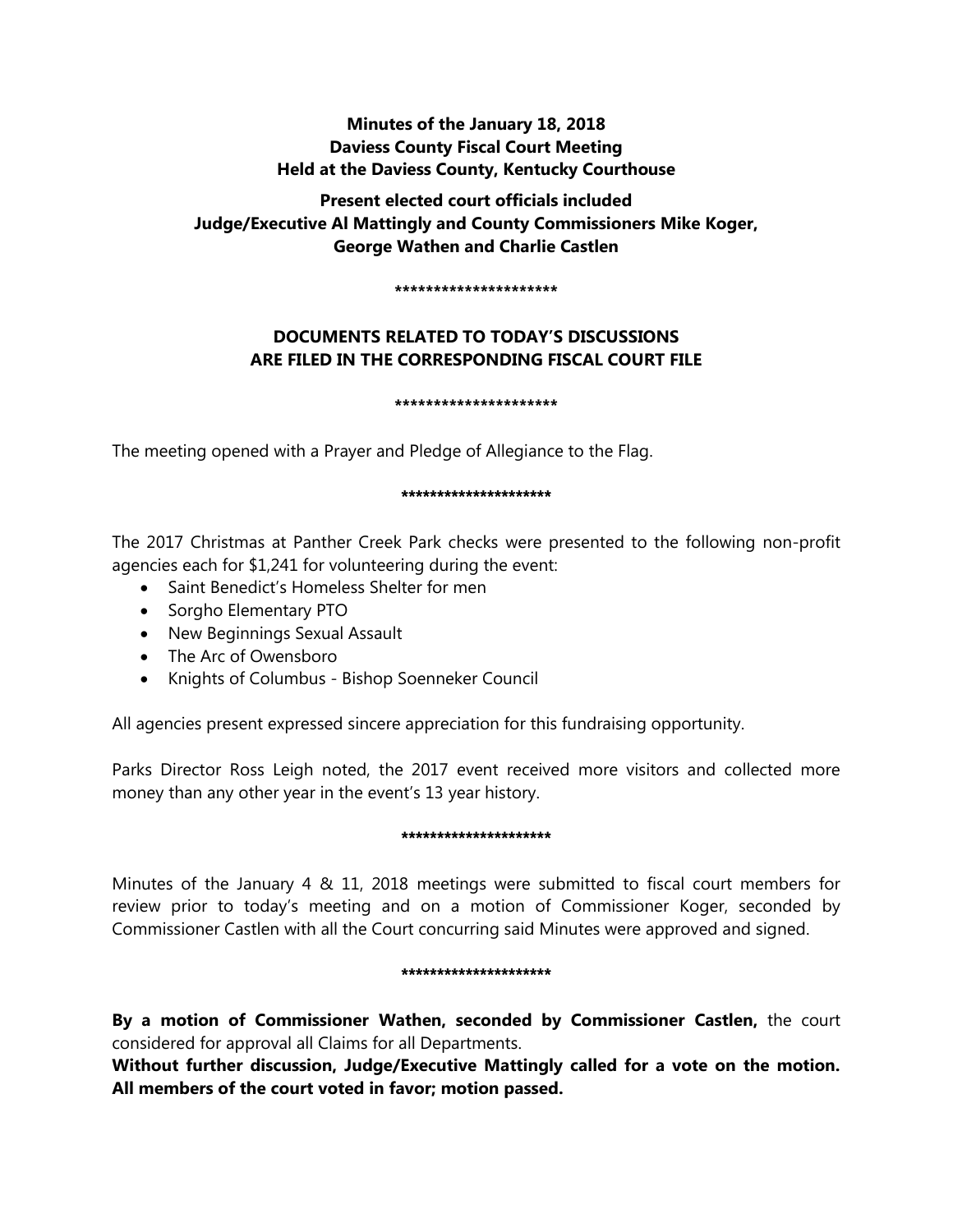# **Minutes of the January 18, 2018 Daviess County Fiscal Court Meeting Held at the Daviess County, Kentucky Courthouse**

# **Present elected court officials included Judge/Executive Al Mattingly and County Commissioners Mike Koger, George Wathen and Charlie Castlen**

#### **\*\*\*\*\*\*\*\*\*\*\*\*\*\*\*\*\*\*\*\*\***

# **DOCUMENTS RELATED TO TODAY'S DISCUSSIONS ARE FILED IN THE CORRESPONDING FISCAL COURT FILE**

#### **\*\*\*\*\*\*\*\*\*\*\*\*\*\*\*\*\*\*\*\*\***

The meeting opened with a Prayer and Pledge of Allegiance to the Flag.

#### \*\*\*\*\*\*\*\*\*\*\*\*\*\*\*\*\*\*\*\*\*

The 2017 Christmas at Panther Creek Park checks were presented to the following non-profit agencies each for \$1,241 for volunteering during the event:

- Saint Benedict's Homeless Shelter for men
- Sorgho Elementary PTO
- New Beginnings Sexual Assault
- The Arc of Owensboro
- Knights of Columbus Bishop Soenneker Council

All agencies present expressed sincere appreciation for this fundraising opportunity.

Parks Director Ross Leigh noted, the 2017 event received more visitors and collected more money than any other year in the event's 13 year history.

# \*\*\*\*\*\*\*\*\*\*\*\*\*\*\*\*\*\*\*\*\*

Minutes of the January 4 & 11, 2018 meetings were submitted to fiscal court members for review prior to today's meeting and on a motion of Commissioner Koger, seconded by Commissioner Castlen with all the Court concurring said Minutes were approved and signed.

# \*\*\*\*\*\*\*\*\*\*\*\*\*\*\*\*\*\*\*\*

**By a motion of Commissioner Wathen, seconded by Commissioner Castlen,** the court considered for approval all Claims for all Departments.

**Without further discussion, Judge/Executive Mattingly called for a vote on the motion. All members of the court voted in favor; motion passed.**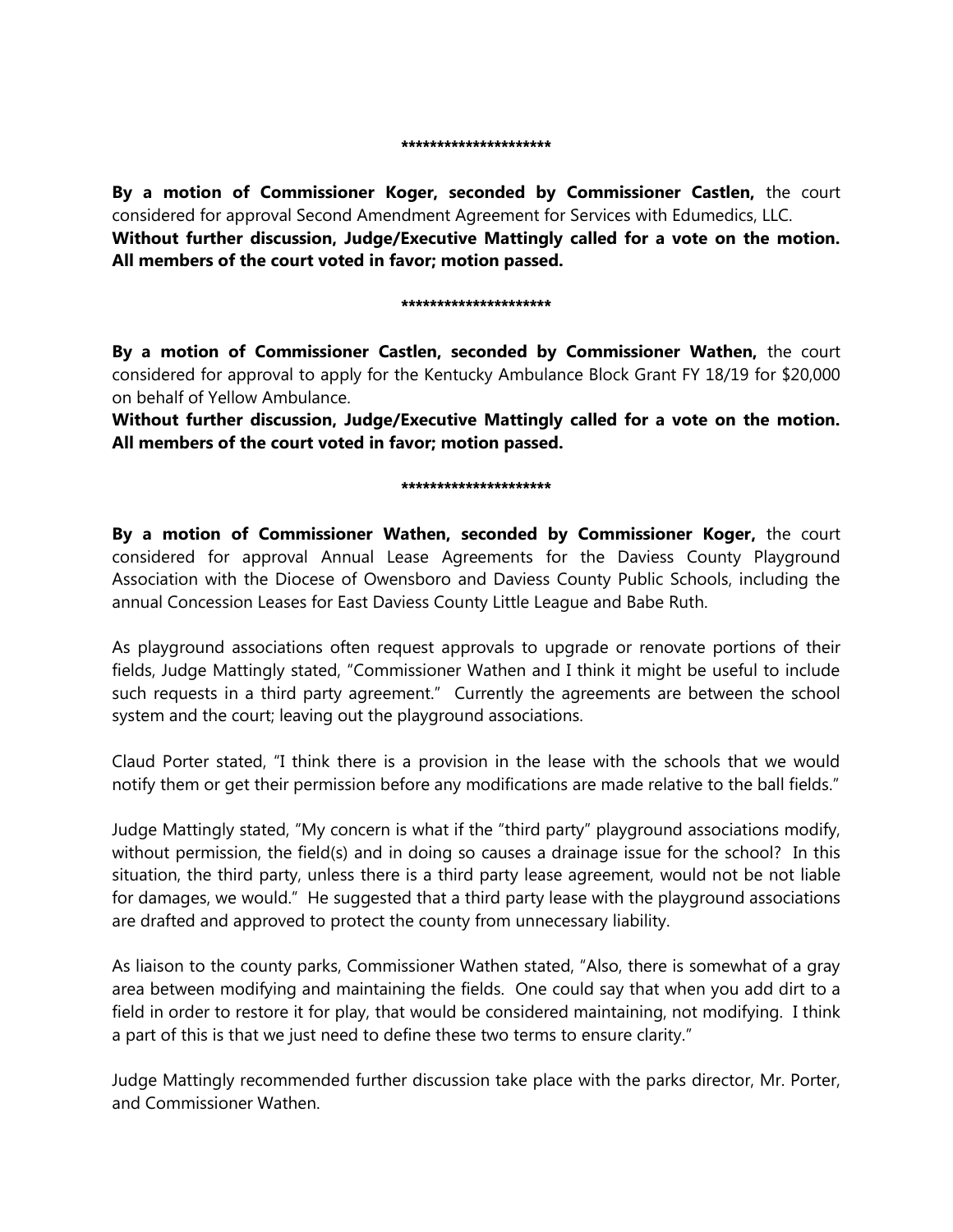**By a motion of Commissioner Koger, seconded by Commissioner Castlen,** the court considered for approval Second Amendment Agreement for Services with Edumedics, LLC. **Without further discussion, Judge/Executive Mattingly called for a vote on the motion. All members of the court voted in favor; motion passed.** 

#### \*\*\*\*\*\*\*\*\*\*\*\*\*\*\*\*\*\*\*

**By a motion of Commissioner Castlen, seconded by Commissioner Wathen,** the court considered for approval to apply for the Kentucky Ambulance Block Grant FY 18/19 for \$20,000 on behalf of Yellow Ambulance.

**Without further discussion, Judge/Executive Mattingly called for a vote on the motion. All members of the court voted in favor; motion passed.** 

#### \*\*\*\*\*\*\*\*\*\*\*\*\*\*\*\*\*\*\*\*\*

**By a motion of Commissioner Wathen, seconded by Commissioner Koger,** the court considered for approval Annual Lease Agreements for the Daviess County Playground Association with the Diocese of Owensboro and Daviess County Public Schools, including the annual Concession Leases for East Daviess County Little League and Babe Ruth.

As playground associations often request approvals to upgrade or renovate portions of their fields, Judge Mattingly stated, "Commissioner Wathen and I think it might be useful to include such requests in a third party agreement." Currently the agreements are between the school system and the court; leaving out the playground associations.

Claud Porter stated, "I think there is a provision in the lease with the schools that we would notify them or get their permission before any modifications are made relative to the ball fields."

Judge Mattingly stated, "My concern is what if the "third party" playground associations modify, without permission, the field(s) and in doing so causes a drainage issue for the school? In this situation, the third party, unless there is a third party lease agreement, would not be not liable for damages, we would." He suggested that a third party lease with the playground associations are drafted and approved to protect the county from unnecessary liability.

As liaison to the county parks, Commissioner Wathen stated, "Also, there is somewhat of a gray area between modifying and maintaining the fields. One could say that when you add dirt to a field in order to restore it for play, that would be considered maintaining, not modifying. I think a part of this is that we just need to define these two terms to ensure clarity."

Judge Mattingly recommended further discussion take place with the parks director, Mr. Porter, and Commissioner Wathen.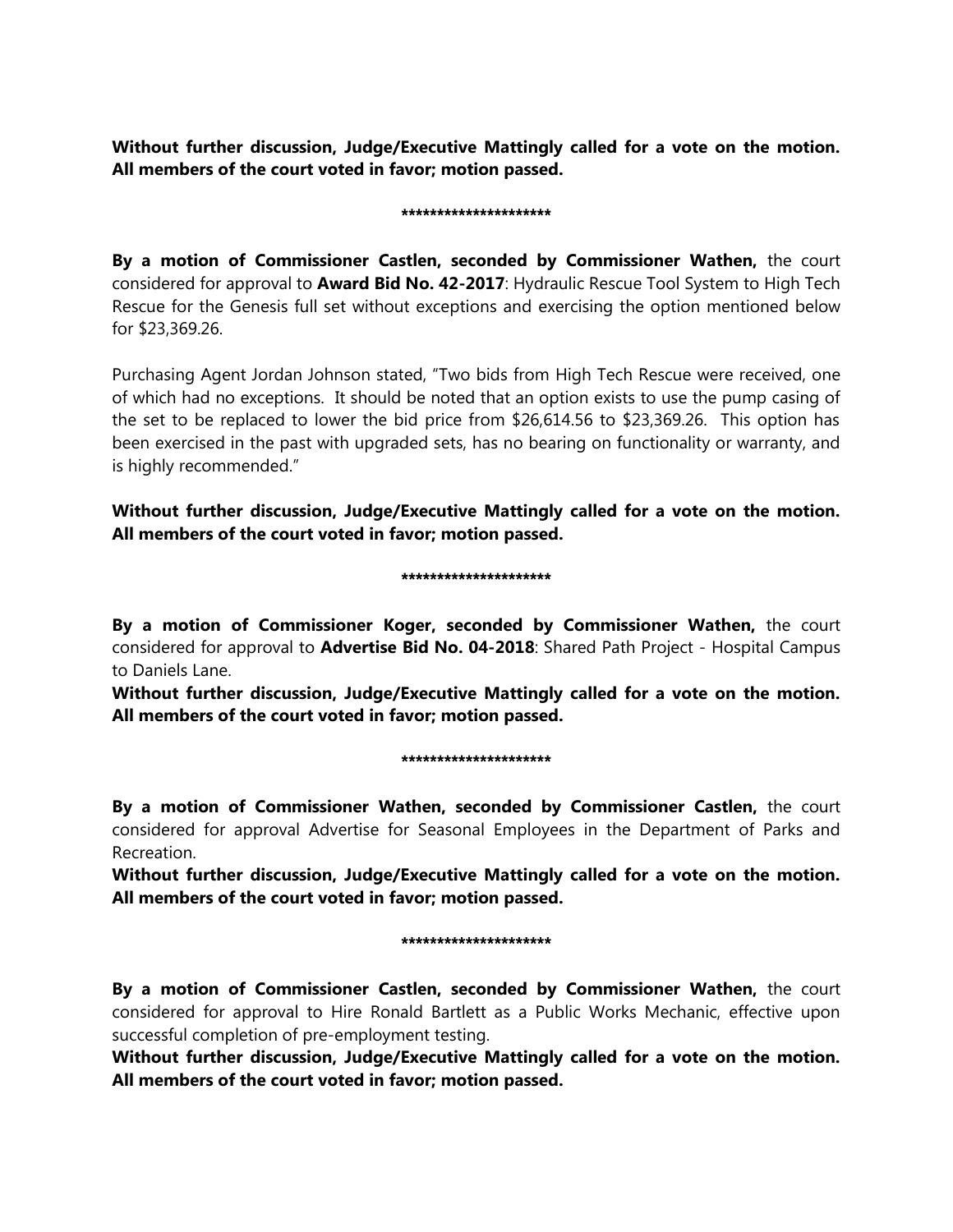**Without further discussion, Judge/Executive Mattingly called for a vote on the motion. All members of the court voted in favor; motion passed.** 

#### \*\*\*\*\*\*\*\*\*\*\*\*\*\*\*\*\*\*\*\*\*

**By a motion of Commissioner Castlen, seconded by Commissioner Wathen,** the court considered for approval to **Award Bid No. 42-2017**: Hydraulic Rescue Tool System to High Tech Rescue for the Genesis full set without exceptions and exercising the option mentioned below for \$23,369.26.

Purchasing Agent Jordan Johnson stated, "Two bids from High Tech Rescue were received, one of which had no exceptions. It should be noted that an option exists to use the pump casing of the set to be replaced to lower the bid price from \$26,614.56 to \$23,369.26. This option has been exercised in the past with upgraded sets, has no bearing on functionality or warranty, and is highly recommended."

**Without further discussion, Judge/Executive Mattingly called for a vote on the motion. All members of the court voted in favor; motion passed.** 

# \*\*\*\*\*\*\*\*\*\*\*\*\*\*\*\*\*\*\*\*

**By a motion of Commissioner Koger, seconded by Commissioner Wathen,** the court considered for approval to **Advertise Bid No. 04-2018**: Shared Path Project - Hospital Campus to Daniels Lane.

**Without further discussion, Judge/Executive Mattingly called for a vote on the motion. All members of the court voted in favor; motion passed.** 

# \*\*\*\*\*\*\*\*\*\*\*\*\*\*\*\*\*\*\*\*\*

**By a motion of Commissioner Wathen, seconded by Commissioner Castlen,** the court considered for approval Advertise for Seasonal Employees in the Department of Parks and Recreation.

**Without further discussion, Judge/Executive Mattingly called for a vote on the motion. All members of the court voted in favor; motion passed.** 

# \*\*\*\*\*\*\*\*\*\*\*\*\*\*\*\*\*\*\*\*\*

**By a motion of Commissioner Castlen, seconded by Commissioner Wathen,** the court considered for approval to Hire Ronald Bartlett as a Public Works Mechanic, effective upon successful completion of pre-employment testing.

**Without further discussion, Judge/Executive Mattingly called for a vote on the motion. All members of the court voted in favor; motion passed.**